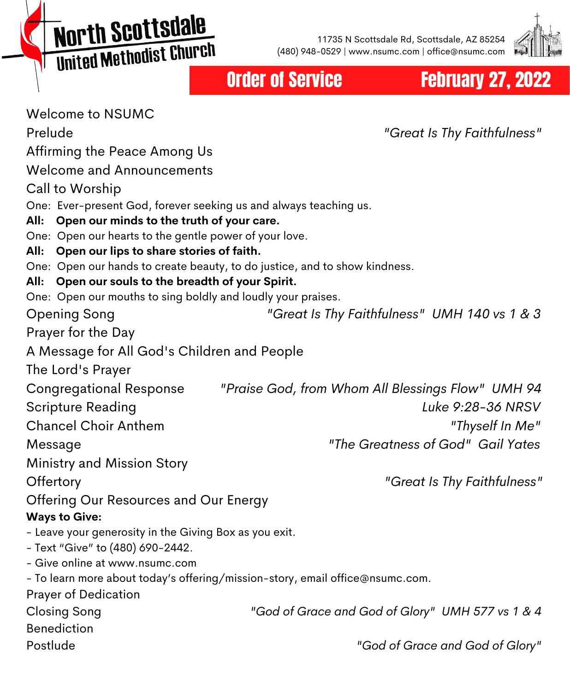**North Scottsdale MOI'LII SCO CESCRIPT** 

11735 N Scottsdale Rd, Scottsdale, AZ 85254 (480) 948-0529 | www.nsumc.com | office@nsumc.com



Order of Service **February 27, 2022** 

| <b>Welcome to NSUMC</b>                                                                                    |                                                   |
|------------------------------------------------------------------------------------------------------------|---------------------------------------------------|
| Prelude                                                                                                    | "Great Is Thy Faithfulness"                       |
| Affirming the Peace Among Us                                                                               |                                                   |
| <b>Welcome and Announcements</b>                                                                           |                                                   |
| Call to Worship                                                                                            |                                                   |
| One: Ever-present God, forever seeking us and always teaching us.                                          |                                                   |
| Open our minds to the truth of your care.<br>All:                                                          |                                                   |
| One: Open our hearts to the gentle power of your love.<br>Open our lips to share stories of faith.<br>All: |                                                   |
| One: Open our hands to create beauty, to do justice, and to show kindness.                                 |                                                   |
| All: Open our souls to the breadth of your Spirit.                                                         |                                                   |
| One: Open our mouths to sing boldly and loudly your praises.                                               |                                                   |
| <b>Opening Song</b>                                                                                        | "Great Is Thy Faithfulness" UMH 140 vs 1 & 3      |
| Prayer for the Day                                                                                         |                                                   |
| A Message for All God's Children and People                                                                |                                                   |
| The Lord's Prayer                                                                                          |                                                   |
| <b>Congregational Response</b>                                                                             | "Praise God, from Whom All Blessings Flow" UMH 94 |
| <b>Scripture Reading</b>                                                                                   | Luke 9:28-36 NRSV                                 |
| <b>Chancel Choir Anthem</b>                                                                                | "Thyself In Me"                                   |
| Message                                                                                                    | "The Greatness of God" Gail Yates                 |
| Ministry and Mission Story                                                                                 |                                                   |
| Offertory                                                                                                  | "Great Is Thy Faithfulness"                       |
| Offering Our Resources and Our Energy                                                                      |                                                   |
| <b>Ways to Give:</b>                                                                                       |                                                   |
| - Leave your generosity in the Giving Box as you exit.                                                     |                                                   |
| - Text "Give" to (480) 690-2442.<br>- Give online at www.nsumc.com                                         |                                                   |
| - To learn more about today's offering/mission-story, email office@nsumc.com.                              |                                                   |
| Prayer of Dedication                                                                                       |                                                   |
| <b>Closing Song</b>                                                                                        | "God of Grace and God of Glory" UMH 577 vs 1 & 4  |
| <b>Benediction</b>                                                                                         |                                                   |
| Postlude                                                                                                   | "God of Grace and God of Glory"                   |
|                                                                                                            |                                                   |